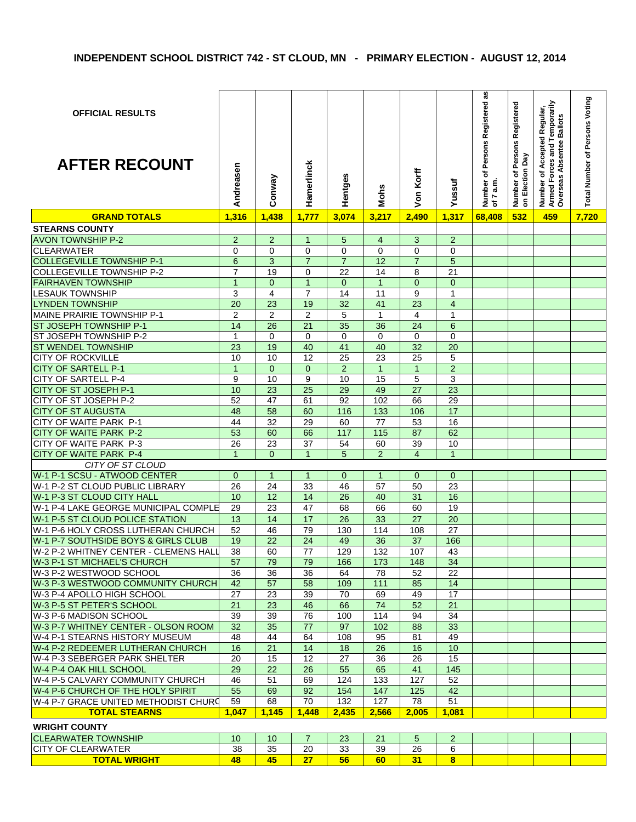| <b>OFFICIAL RESULTS</b><br><b>AFTER RECOUNT</b> | Andreasen       | Conway          | Hamerlinck      | Hentges        | Mohs           | Von Korff      | Yussuf          | as<br>Number of Persons Registered<br>of 7 a.m.<br>7 a.m. | Number of Persons Registered<br>on Election Day | Number of Accepted Regular,<br>Armed Forces and Temporarily<br>Overseas Absentee Ballots | Total Number of Persons Voting |
|-------------------------------------------------|-----------------|-----------------|-----------------|----------------|----------------|----------------|-----------------|-----------------------------------------------------------|-------------------------------------------------|------------------------------------------------------------------------------------------|--------------------------------|
| <b>GRAND TOTALS</b>                             | 1,316           | 1,438           | 1,777           | 3,074          | 3,217          | 2,490          | 1,317           | 68,408                                                    | 532                                             | 459                                                                                      | 7,720                          |
| <b>STEARNS COUNTY</b>                           |                 |                 |                 |                |                |                |                 |                                                           |                                                 |                                                                                          |                                |
| <b>AVON TOWNSHIP P-2</b>                        | $\overline{2}$  | $\overline{2}$  | $\mathbf{1}$    | 5              | $\overline{4}$ | 3              | $\overline{2}$  |                                                           |                                                 |                                                                                          |                                |
| <b>CLEARWATER</b>                               | 0               | $\Omega$        | $\Omega$        | $\Omega$       | $\Omega$       | 0              | $\Omega$        |                                                           |                                                 |                                                                                          |                                |
| <b>COLLEGEVILLE TOWNSHIP P-1</b>                | 6               | 3               | $\overline{7}$  | $\overline{7}$ | 12             | $\overline{7}$ | 5               |                                                           |                                                 |                                                                                          |                                |
| <b>COLLEGEVILLE TOWNSHIP P-2</b>                | $\overline{7}$  | 19              | 0               | 22             | 14             | 8              | 21              |                                                           |                                                 |                                                                                          |                                |
| <b>FAIRHAVEN TOWNSHIP</b>                       | $\overline{1}$  | $\mathbf{0}$    | $\mathbf{1}$    | $\mathbf{0}$   | $\overline{1}$ | $\overline{0}$ | $\mathbf{0}$    |                                                           |                                                 |                                                                                          |                                |
| <b>LESAUK TOWNSHIP</b>                          | 3               | 4               | $\overline{7}$  | 14             | 11             | 9              | $\mathbf{1}$    |                                                           |                                                 |                                                                                          |                                |
| <b>LYNDEN TOWNSHIP</b>                          | 20              | 23              | 19              | 32             | 41             | 23             | $\overline{4}$  |                                                           |                                                 |                                                                                          |                                |
| MAINE PRAIRIE TOWNSHIP P-1                      | $\overline{2}$  | $\overline{2}$  | $\overline{2}$  | 5              | $\mathbf{1}$   | 4              | 1               |                                                           |                                                 |                                                                                          |                                |
| ST JOSEPH TOWNSHIP P-1                          | $\overline{14}$ | 26              | $\overline{21}$ | 35             | 36             | 24             | $\,6\,$         |                                                           |                                                 |                                                                                          |                                |
| ST JOSEPH TOWNSHIP P-2                          | 1               | 0               | 0               | $\mathbf 0$    | $\Omega$       | 0              | $\mathbf 0$     |                                                           |                                                 |                                                                                          |                                |
| <b>ST WENDEL TOWNSHIP</b>                       | 23              | 19              | 40              | 41             | 40             | 32             | 20              |                                                           |                                                 |                                                                                          |                                |
| <b>CITY OF ROCKVILLE</b>                        | 10              | 10              | 12              | 25             | 23             | 25             | 5               |                                                           |                                                 |                                                                                          |                                |
| <b>CITY OF SARTELL P-1</b>                      | $\mathbf{1}$    | $\mathbf{0}$    | $\mathbf{0}$    | $\overline{2}$ | $\overline{1}$ | $\mathbf{1}$   | $\overline{2}$  |                                                           |                                                 |                                                                                          |                                |
| <b>CITY OF SARTELL P-4</b>                      | 9               | 10              | 9               | 10             | 15             | 5              | 3               |                                                           |                                                 |                                                                                          |                                |
| CITY OF ST JOSEPH P-1                           | 10              | 23              | 25              | 29             | 49             | 27             | 23              |                                                           |                                                 |                                                                                          |                                |
| CITY OF ST JOSEPH P-2                           | 52              | 47              | 61              | 92             | 102            | 66             | $\overline{29}$ |                                                           |                                                 |                                                                                          |                                |
| <b>CITY OF ST AUGUSTA</b>                       | 48              | 58              | 60              | 116            | 133            | 106            | 17              |                                                           |                                                 |                                                                                          |                                |
| CITY OF WAITE PARK P-1                          | 44              | 32              | 29              | 60             | 77             | 53             | 16              |                                                           |                                                 |                                                                                          |                                |
| <b>CITY OF WAITE PARK P-2</b>                   | 53              | 60              | 66              | 117            | 115            | 87             | 62              |                                                           |                                                 |                                                                                          |                                |
| CITY OF WAITE PARK P-3                          | 26              | 23              | 37              | 54             | 60             | 39             | 10              |                                                           |                                                 |                                                                                          |                                |
| CITY OF WAITE PARK P-4                          | $\mathbf{1}$    | $\Omega$        | $\mathbf{1}$    | 5              | 2              | $\overline{4}$ | $\mathbf{1}$    |                                                           |                                                 |                                                                                          |                                |
| CITY OF ST CLOUD                                |                 |                 |                 |                |                |                |                 |                                                           |                                                 |                                                                                          |                                |
| W-1 P-1 SCSU - ATWOOD CENTER                    | $\mathbf{0}$    | $\mathbf{1}$    | $\mathbf{1}$    | $\mathbf{0}$   | $\mathbf{1}$   | $\mathbf{0}$   | $\mathbf{0}$    |                                                           |                                                 |                                                                                          |                                |
| W-1 P-2 ST CLOUD PUBLIC LIBRARY                 | 26              | 24              | 33              | 46             | 57             | 50             | 23              |                                                           |                                                 |                                                                                          |                                |
| W-1 P-3 ST CLOUD CITY HALL                      | 10              | 12              | 14              | 26             | 40             | 31             | 16              |                                                           |                                                 |                                                                                          |                                |
| W-1 P-4 LAKE GEORGE MUNICIPAL COMPLE            | 29              | 23              | 47              | 68             | 66             | 60             | 19              |                                                           |                                                 |                                                                                          |                                |
| W-1 P-5 ST CLOUD POLICE STATION                 | 13              | 14              | 17              | 26             | 33             | 27             | 20              |                                                           |                                                 |                                                                                          |                                |
| W-1 P-6 HOLY CROSS LUTHERAN CHURCH              | 52              | 46              | 79              | 130            | 114            | 108            | 27              |                                                           |                                                 |                                                                                          |                                |
| W-1 P-7 SOUTHSIDE BOYS & GIRLS CLUB             | 19              | 22              | 24              | 49             | 36             | 37             | 166             |                                                           |                                                 |                                                                                          |                                |
| W-2 P-2 WHITNEY CENTER - CLEMENS HALL           | $\overline{38}$ | 60              | 77              | 129            | 132            | 107            | 43              |                                                           |                                                 |                                                                                          |                                |
| W-3 P-1 ST MICHAEL'S CHURCH                     | 57              | 79              | 79              | 166            | 173            | 148            | 34              |                                                           |                                                 |                                                                                          |                                |
| W-3 P-2 WESTWOOD SCHOOL                         | 36              | 36              | 36              | 64             | 78             | 52             | 22              |                                                           |                                                 |                                                                                          |                                |
| W-3 P-3 WESTWOOD COMMUNITY CHURCH               | 42              | 57              | 58              | 109            | 111            | 85             | 14              |                                                           |                                                 |                                                                                          |                                |
| W-3 P-4 APOLLO HIGH SCHOOL                      | 27              | 23              | 39              | 70             | 69             | 49             | 17              |                                                           |                                                 |                                                                                          |                                |
| W-3 P-5 ST PETER'S SCHOOL                       | 21              | 23              | 46              | 66             | 74             | 52             | 21              |                                                           |                                                 |                                                                                          |                                |
| W-3 P-6 MADISON SCHOOL                          | 39              | 39              | 76              | 100            | 114            | 94             | 34              |                                                           |                                                 |                                                                                          |                                |
| W-3 P-7 WHITNEY CENTER - OLSON ROOM             | 32              | 35              | 77              | 97             | 102            | 88             | 33              |                                                           |                                                 |                                                                                          |                                |
| W-4 P-1 STEARNS HISTORY MUSEUM                  | 48              | 44              | 64              | 108            | 95             | 81             | 49              |                                                           |                                                 |                                                                                          |                                |
| W-4 P-2 REDEEMER LUTHERAN CHURCH                | 16              | 21              | 14              | 18             | 26             | 16             | 10              |                                                           |                                                 |                                                                                          |                                |
| W-4 P-3 SEBERGER PARK SHELTER                   | 20              | 15              | 12              | 27             | 36             | 26             | 15              |                                                           |                                                 |                                                                                          |                                |
| W-4 P-4 OAK HILL SCHOOL                         | 29              | 22              | 26              | 55             | 65             | 41             | 145             |                                                           |                                                 |                                                                                          |                                |
| W-4 P-5 CALVARY COMMUNITY CHURCH                | 46              | 51              | 69              | 124            | 133            | 127            | 52              |                                                           |                                                 |                                                                                          |                                |
| W-4 P-6 CHURCH OF THE HOLY SPIRIT               | 55              | 69              | 92              | 154            | 147            | 125            | 42              |                                                           |                                                 |                                                                                          |                                |
| W-4 P-7 GRACE UNITED METHODIST CHURD            | 59              | 68              | 70              | 132            | 127            | 78             | 51              |                                                           |                                                 |                                                                                          |                                |
| <b>TOTAL STEARNS</b>                            | 1,047           | 1,145           | 1,448           | 2,435          | 2,566          | 2,005          | 1,081           |                                                           |                                                 |                                                                                          |                                |
|                                                 |                 |                 |                 |                |                |                |                 |                                                           |                                                 |                                                                                          |                                |
| <b>WRIGHT COUNTY</b>                            |                 |                 |                 |                |                |                |                 |                                                           |                                                 |                                                                                          |                                |
| <b>CLEARWATER TOWNSHIP</b>                      | 10 <sup>°</sup> | 10 <sup>°</sup> | $\overline{7}$  | 23             | 21             | 5              | $\overline{2}$  |                                                           |                                                 |                                                                                          |                                |
| <b>CITY OF CLEARWATER</b>                       | 38              | 35              | 20              | 33             | 39             | 26             | 6               |                                                           |                                                 |                                                                                          |                                |
| <b>TOTAL WRIGHT</b>                             | 48              | 45              | $27\,$          | 56             | 60             | 31             | 8 <sup>2</sup>  |                                                           |                                                 |                                                                                          |                                |